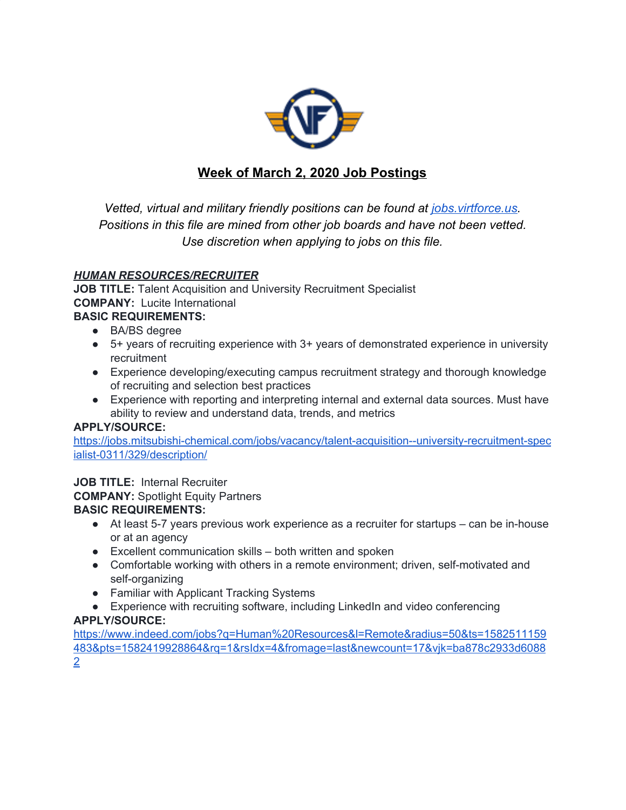

# **Week of March 2, 2020 Job Postings**

*Vetted, virtual and military friendly positions can be found at <i>[jobs.virtforce.us](https://jobs.virtforce.us/) Positions in this file are mined from other job boards and have not been vetted. Use discretion when applying to jobs on this file.*

### *HUMAN RESOURCES/RECRUITER*

**JOB TITLE:** Talent Acquisition and University Recruitment Specialist **COMPANY:** Lucite International **BASIC REQUIREMENTS:**

- BA/BS degree
- 5+ years of recruiting experience with 3+ years of demonstrated experience in university recruitment
- Experience developing/executing campus recruitment strategy and thorough knowledge of recruiting and selection best practices
- Experience with reporting and interpreting internal and external data sources. Must have ability to review and understand data, trends, and metrics

### **APPLY/SOURCE:**

[https://jobs.mitsubishi-chemical.com/jobs/vacancy/talent-acquisition--university-recruitment-spec](https://jobs.mitsubishi-chemical.com/jobs/vacancy/talent-acquisition--university-recruitment-specialist-0311/329/description/) [ialist-0311/329/description/](https://jobs.mitsubishi-chemical.com/jobs/vacancy/talent-acquisition--university-recruitment-specialist-0311/329/description/)

#### **JOB TITLE:** Internal Recruiter **COMPANY:** Spotlight Equity Partners **BASIC REQUIREMENTS:**

- At least 5-7 years previous work experience as a recruiter for startups can be in-house or at an agency
- Excellent communication skills both written and spoken
- Comfortable working with others in a remote environment; driven, self-motivated and self-organizing
- Familiar with Applicant Tracking Systems
- Experience with recruiting software, including LinkedIn and video conferencing

### **APPLY/SOURCE:**

[https://www.indeed.com/jobs?q=Human%20Resources&l=Remote&radius=50&ts=1582511159](https://www.indeed.com/jobs?q=Human%20Resources&l=Remote&radius=50&ts=1582511159483&pts=1582419928864&rq=1&rsIdx=4&fromage=last&newcount=17&vjk=ba878c2933d60882) [483&pts=1582419928864&rq=1&rsIdx=4&fromage=last&newcount=17&vjk=ba878c2933d6088](https://www.indeed.com/jobs?q=Human%20Resources&l=Remote&radius=50&ts=1582511159483&pts=1582419928864&rq=1&rsIdx=4&fromage=last&newcount=17&vjk=ba878c2933d60882) [2](https://www.indeed.com/jobs?q=Human%20Resources&l=Remote&radius=50&ts=1582511159483&pts=1582419928864&rq=1&rsIdx=4&fromage=last&newcount=17&vjk=ba878c2933d60882)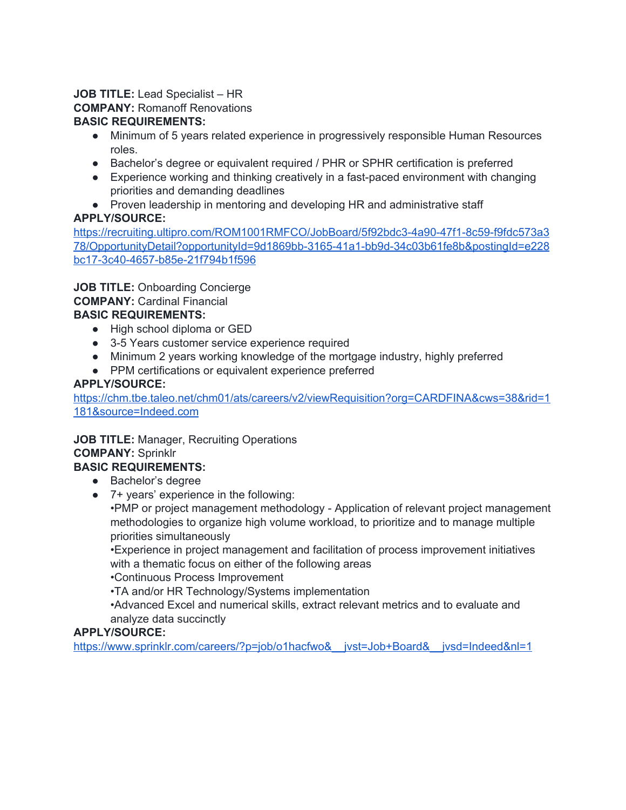#### **JOB TITLE:** Lead Specialist – HR **COMPANY:** Romanoff Renovations **BASIC REQUIREMENTS:**

- Minimum of 5 years related experience in progressively responsible Human Resources roles.
- Bachelor's degree or equivalent required / PHR or SPHR certification is preferred
- Experience working and thinking creatively in a fast-paced environment with changing priorities and demanding deadlines
- Proven leadership in mentoring and developing HR and administrative staff

### **APPLY/SOURCE:**

[https://recruiting.ultipro.com/ROM1001RMFCO/JobBoard/5f92bdc3-4a90-47f1-8c59-f9fdc573a3](https://recruiting.ultipro.com/ROM1001RMFCO/JobBoard/5f92bdc3-4a90-47f1-8c59-f9fdc573a378/OpportunityDetail?opportunityId=9d1869bb-3165-41a1-bb9d-34c03b61fe8b&postingId=e228bc17-3c40-4657-b85e-21f794b1f596) [78/OpportunityDetail?opportunityId=9d1869bb-3165-41a1-bb9d-34c03b61fe8b&postingId=e228](https://recruiting.ultipro.com/ROM1001RMFCO/JobBoard/5f92bdc3-4a90-47f1-8c59-f9fdc573a378/OpportunityDetail?opportunityId=9d1869bb-3165-41a1-bb9d-34c03b61fe8b&postingId=e228bc17-3c40-4657-b85e-21f794b1f596) [bc17-3c40-4657-b85e-21f794b1f596](https://recruiting.ultipro.com/ROM1001RMFCO/JobBoard/5f92bdc3-4a90-47f1-8c59-f9fdc573a378/OpportunityDetail?opportunityId=9d1869bb-3165-41a1-bb9d-34c03b61fe8b&postingId=e228bc17-3c40-4657-b85e-21f794b1f596)

#### **JOB TITLE:** Onboarding Concierge **COMPANY:** Cardinal Financial

## **BASIC REQUIREMENTS:**

- High school diploma or GED
- 3-5 Years customer service experience required
- Minimum 2 years working knowledge of the mortgage industry, highly preferred
- PPM certifications or equivalent experience preferred

### **APPLY/SOURCE:**

[https://chm.tbe.taleo.net/chm01/ats/careers/v2/viewRequisition?org=CARDFINA&cws=38&rid=1](https://chm.tbe.taleo.net/chm01/ats/careers/v2/viewRequisition?org=CARDFINA&cws=38&rid=1181&source=Indeed.com) [181&source=Indeed.com](https://chm.tbe.taleo.net/chm01/ats/careers/v2/viewRequisition?org=CARDFINA&cws=38&rid=1181&source=Indeed.com)

**JOB TITLE:** Manager, Recruiting Operations **COMPANY:** Sprinklr

# **BASIC REQUIREMENTS:**

- Bachelor's degree
- 7+ years' experience in the following:

•PMP or project management methodology - Application of relevant project management methodologies to organize high volume workload, to prioritize and to manage multiple priorities simultaneously

•Experience in project management and facilitation of process improvement initiatives with a thematic focus on either of the following areas

•Continuous Process Improvement

•TA and/or HR Technology/Systems implementation

•Advanced Excel and numerical skills, extract relevant metrics and to evaluate and analyze data succinctly

### **APPLY/SOURCE:**

[https://www.sprinklr.com/careers/?p=job/o1hacfwo&\\_\\_jvst=Job+Board&\\_\\_jvsd=Indeed&nl=1](https://www.sprinklr.com/careers/?p=job/o1hacfwo&__jvst=Job+Board&__jvsd=Indeed&nl=1)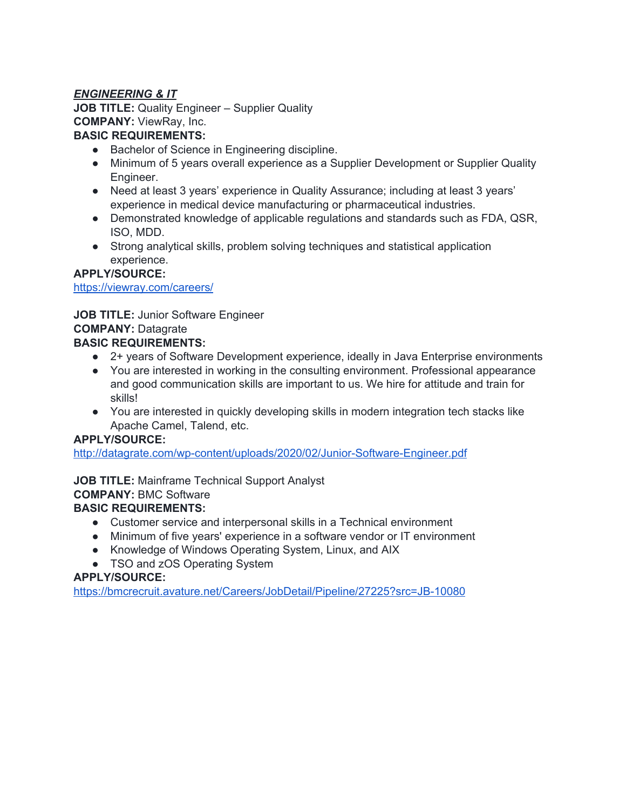### *ENGINEERING & IT*

**JOB TITLE:** Quality Engineer – Supplier Quality **COMPANY:** ViewRay, Inc. **BASIC REQUIREMENTS:**

- Bachelor of Science in Engineering discipline.
- Minimum of 5 years overall experience as a Supplier Development or Supplier Quality Engineer.
- Need at least 3 years' experience in Quality Assurance; including at least 3 years' experience in medical device manufacturing or pharmaceutical industries.
- Demonstrated knowledge of applicable regulations and standards such as FDA, QSR, ISO, MDD.
- Strong analytical skills, problem solving techniques and statistical application experience.

### **APPLY/SOURCE:**

<https://viewray.com/careers/>

#### **JOB TITLE:** Junior Software Engineer **COMPANY:** Datagrate **BASIC REQUIREMENTS:**

- 2+ years of Software Development experience, ideally in Java Enterprise environments
- You are interested in working in the consulting environment. Professional appearance and good communication skills are important to us. We hire for attitude and train for skills!
- You are interested in quickly developing skills in modern integration tech stacks like Apache Camel, Talend, etc.

### **APPLY/SOURCE:**

<http://datagrate.com/wp-content/uploads/2020/02/Junior-Software-Engineer.pdf>

**JOB TITLE:** Mainframe Technical Support Analyst **COMPANY:** BMC Software

### **BASIC REQUIREMENTS:**

- Customer service and interpersonal skills in a Technical environment
- Minimum of five years' experience in a software vendor or IT environment
- Knowledge of Windows Operating System, Linux, and AIX
- TSO and zOS Operating System

### **APPLY/SOURCE:**

<https://bmcrecruit.avature.net/Careers/JobDetail/Pipeline/27225?src=JB-10080>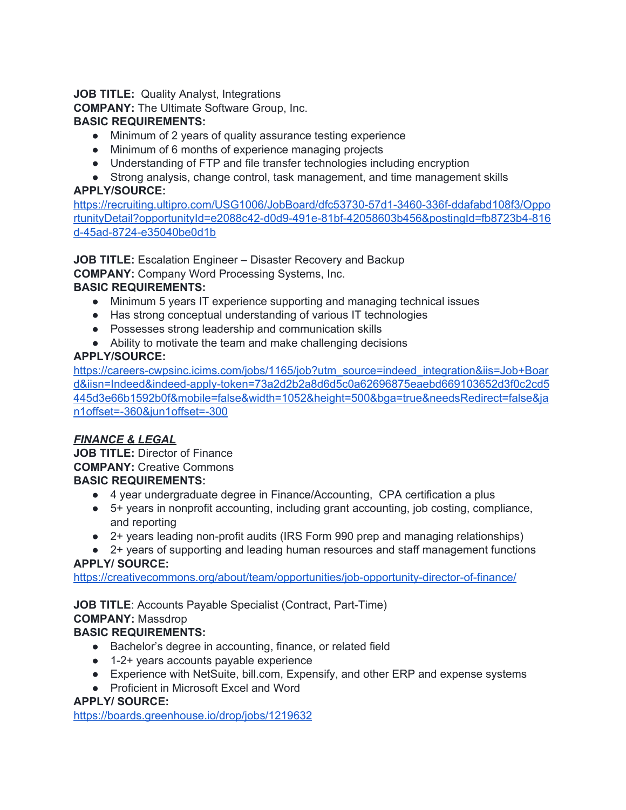#### **JOB TITLE:** Quality Analyst, Integrations

**COMPANY:** The Ultimate Software Group, Inc.

#### **BASIC REQUIREMENTS:**

- Minimum of 2 years of quality assurance testing experience
- Minimum of 6 months of experience managing projects
- Understanding of FTP and file transfer technologies including encryption
- Strong analysis, change control, task management, and time management skills

### **APPLY/SOURCE:**

[https://recruiting.ultipro.com/USG1006/JobBoard/dfc53730-57d1-3460-336f-ddafabd108f3/Oppo](https://recruiting.ultipro.com/USG1006/JobBoard/dfc53730-57d1-3460-336f-ddafabd108f3/OpportunityDetail?opportunityId=e2088c42-d0d9-491e-81bf-42058603b456&postingId=fb8723b4-816d-45ad-8724-e35040be0d1b) [rtunityDetail?opportunityId=e2088c42-d0d9-491e-81bf-42058603b456&postingId=fb8723b4-816](https://recruiting.ultipro.com/USG1006/JobBoard/dfc53730-57d1-3460-336f-ddafabd108f3/OpportunityDetail?opportunityId=e2088c42-d0d9-491e-81bf-42058603b456&postingId=fb8723b4-816d-45ad-8724-e35040be0d1b) [d-45ad-8724-e35040be0d1b](https://recruiting.ultipro.com/USG1006/JobBoard/dfc53730-57d1-3460-336f-ddafabd108f3/OpportunityDetail?opportunityId=e2088c42-d0d9-491e-81bf-42058603b456&postingId=fb8723b4-816d-45ad-8724-e35040be0d1b)

**JOB TITLE:** Escalation Engineer – Disaster Recovery and Backup **COMPANY:** Company Word Processing Systems, Inc.

### **BASIC REQUIREMENTS:**

- Minimum 5 years IT experience supporting and managing technical issues
- Has strong conceptual understanding of various IT technologies
- Possesses strong leadership and communication skills
- Ability to motivate the team and make challenging decisions

### **APPLY/SOURCE:**

[https://careers-cwpsinc.icims.com/jobs/1165/job?utm\\_source=indeed\\_integration&iis=Job+Boar](https://careers-cwpsinc.icims.com/jobs/1165/job?utm_source=indeed_integration&iis=Job+Board&iisn=Indeed&indeed-apply-token=73a2d2b2a8d6d5c0a62696875eaebd669103652d3f0c2cd5445d3e66b1592b0f&mobile=false&width=1052&height=500&bga=true&needsRedirect=false&jan1offset=-360&jun1offset=-300) [d&iisn=Indeed&indeed-apply-token=73a2d2b2a8d6d5c0a62696875eaebd669103652d3f0c2cd5](https://careers-cwpsinc.icims.com/jobs/1165/job?utm_source=indeed_integration&iis=Job+Board&iisn=Indeed&indeed-apply-token=73a2d2b2a8d6d5c0a62696875eaebd669103652d3f0c2cd5445d3e66b1592b0f&mobile=false&width=1052&height=500&bga=true&needsRedirect=false&jan1offset=-360&jun1offset=-300) [445d3e66b1592b0f&mobile=false&width=1052&height=500&bga=true&needsRedirect=false&ja](https://careers-cwpsinc.icims.com/jobs/1165/job?utm_source=indeed_integration&iis=Job+Board&iisn=Indeed&indeed-apply-token=73a2d2b2a8d6d5c0a62696875eaebd669103652d3f0c2cd5445d3e66b1592b0f&mobile=false&width=1052&height=500&bga=true&needsRedirect=false&jan1offset=-360&jun1offset=-300) [n1offset=-360&jun1offset=-300](https://careers-cwpsinc.icims.com/jobs/1165/job?utm_source=indeed_integration&iis=Job+Board&iisn=Indeed&indeed-apply-token=73a2d2b2a8d6d5c0a62696875eaebd669103652d3f0c2cd5445d3e66b1592b0f&mobile=false&width=1052&height=500&bga=true&needsRedirect=false&jan1offset=-360&jun1offset=-300)

### *FINANCE & LEGAL*

**JOB TITLE:** Director of Finance **COMPANY:** Creative Commons **BASIC REQUIREMENTS:**

- 4 year undergraduate degree in Finance/Accounting, CPA certification a plus
- 5+ years in nonprofit accounting, including grant accounting, job costing, compliance, and reporting
- 2+ years leading non-profit audits (IRS Form 990 prep and managing relationships)
- 2+ years of supporting and leading human resources and staff management functions **APPLY/ SOURCE:**

<https://creativecommons.org/about/team/opportunities/job-opportunity-director-of-finance/>

### **JOB TITLE**: Accounts Payable Specialist (Contract, Part-Time)

### **COMPANY:** Massdrop

- **BASIC REQUIREMENTS:**
	- Bachelor's degree in accounting, finance, or related field
	- 1-2+ years accounts payable experience
	- Experience with NetSuite, bill.com, Expensify, and other ERP and expense systems
	- Proficient in Microsoft Excel and Word

### **APPLY/ SOURCE:**

<https://boards.greenhouse.io/drop/jobs/1219632>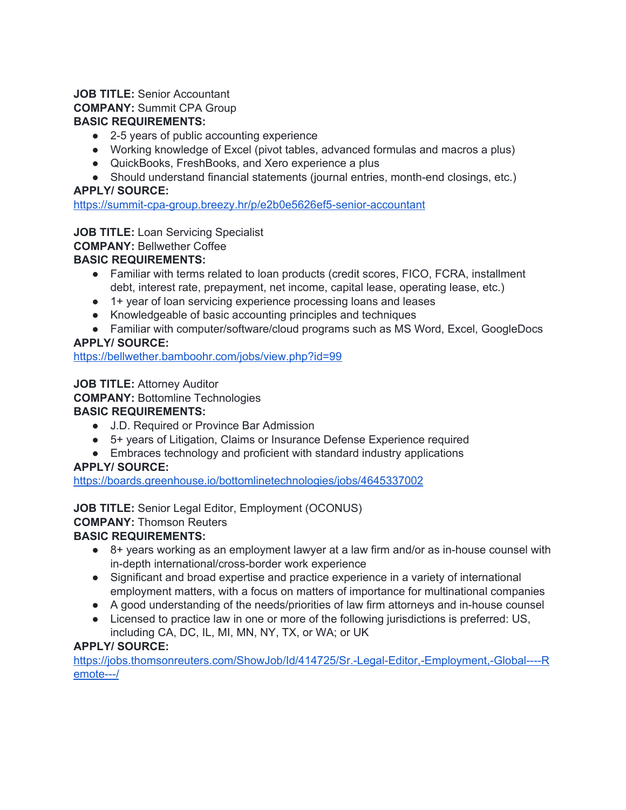#### **JOB TITLE:** Senior Accountant **COMPANY:** Summit CPA Group **BASIC REQUIREMENTS:**

- 2-5 years of public accounting experience
- Working knowledge of Excel (pivot tables, advanced formulas and macros a plus)
- QuickBooks, FreshBooks, and Xero experience a plus
- Should understand financial statements (journal entries, month-end closings, etc.)

### **APPLY/ SOURCE:**

<https://summit-cpa-group.breezy.hr/p/e2b0e5626ef5-senior-accountant>

#### **JOB TITLE:** Loan Servicing Specialist

**COMPANY:** Bellwether Coffee

#### **BASIC REQUIREMENTS:**

- Familiar with terms related to loan products (credit scores, FICO, FCRA, installment debt, interest rate, prepayment, net income, capital lease, operating lease, etc.)
- 1+ year of loan servicing experience processing loans and leases
- Knowledgeable of basic accounting principles and techniques
- Familiar with computer/software/cloud programs such as MS Word, Excel, GoogleDocs **APPLY/ SOURCE:**

<https://bellwether.bamboohr.com/jobs/view.php?id=99>

#### **JOB TITLE:** Attorney Auditor

**COMPANY:** Bottomline Technologies

#### **BASIC REQUIREMENTS:**

- J.D. Required or Province Bar Admission
- 5+ years of Litigation, Claims or Insurance Defense Experience required
- Embraces technology and proficient with standard industry applications

### **APPLY/ SOURCE:**

<https://boards.greenhouse.io/bottomlinetechnologies/jobs/4645337002>

**JOB TITLE:** Senior Legal Editor, Employment (OCONUS)

#### **COMPANY:** Thomson Reuters

### **BASIC REQUIREMENTS:**

- 8+ years working as an employment lawyer at a law firm and/or as in-house counsel with in-depth international/cross-border work experience
- Significant and broad expertise and practice experience in a variety of international employment matters, with a focus on matters of importance for multinational companies
- A good understanding of the needs/priorities of law firm attorneys and in-house counsel
- Licensed to practice law in one or more of the following jurisdictions is preferred: US, including CA, DC, IL, MI, MN, NY, TX, or WA; or UK

### **APPLY/ SOURCE:**

[https://jobs.thomsonreuters.com/ShowJob/Id/414725/Sr.-Legal-Editor,-Employment,-Global----R](https://jobs.thomsonreuters.com/ShowJob/Id/414725/Sr.-Legal-Editor,-Employment,-Global----Remote---/) [emote---/](https://jobs.thomsonreuters.com/ShowJob/Id/414725/Sr.-Legal-Editor,-Employment,-Global----Remote---/)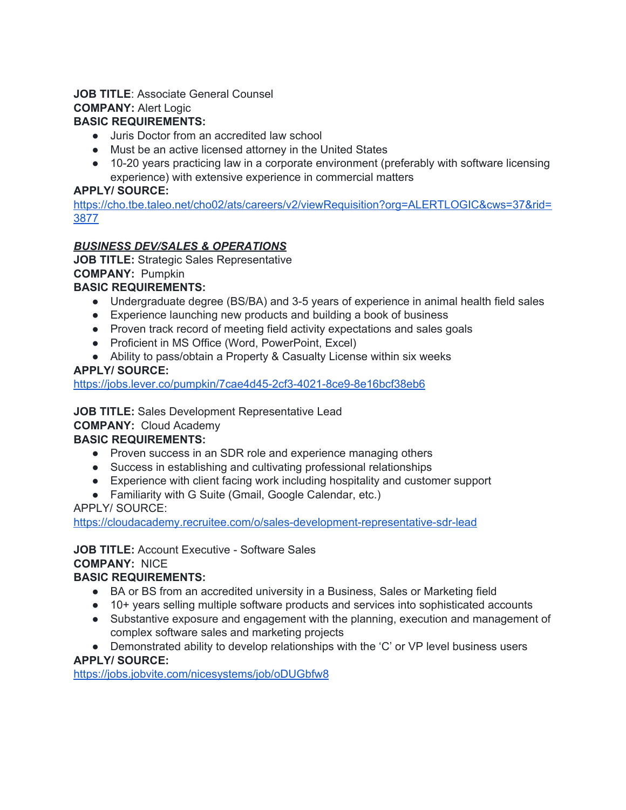# **JOB TITLE**: Associate General Counsel **COMPANY:** Alert Logic

### **BASIC REQUIREMENTS:**

- Juris Doctor from an accredited law school
- Must be an active licensed attorney in the United States
- 10-20 years practicing law in a corporate environment (preferably with software licensing experience) with extensive experience in commercial matters

#### **APPLY/ SOURCE:**

[https://cho.tbe.taleo.net/cho02/ats/careers/v2/viewRequisition?org=ALERTLOGIC&cws=37&rid=](https://cho.tbe.taleo.net/cho02/ats/careers/v2/viewRequisition?org=ALERTLOGIC&cws=37&rid=3877) [3877](https://cho.tbe.taleo.net/cho02/ats/careers/v2/viewRequisition?org=ALERTLOGIC&cws=37&rid=3877)

### *BUSINESS DEV/SALES & OPERATIONS*

**JOB TITLE:** Strategic Sales Representative **COMPANY:** Pumpkin

#### **BASIC REQUIREMENTS:**

- Undergraduate degree (BS/BA) and 3-5 years of experience in animal health field sales
- Experience launching new products and building a book of business
- Proven track record of meeting field activity expectations and sales goals
- Proficient in MS Office (Word, PowerPoint, Excel)
- Ability to pass/obtain a Property & Casualty License within six weeks

#### **APPLY/ SOURCE:**

<https://jobs.lever.co/pumpkin/7cae4d45-2cf3-4021-8ce9-8e16bcf38eb6>

**JOB TITLE:** Sales Development Representative Lead

#### **COMPANY:** Cloud Academy

### **BASIC REQUIREMENTS:**

- Proven success in an SDR role and experience managing others
- Success in establishing and cultivating professional relationships
- Experience with client facing work including hospitality and customer support
- Familiarity with G Suite (Gmail, Google Calendar, etc.)

#### APPLY/ SOURCE:

<https://cloudacademy.recruitee.com/o/sales-development-representative-sdr-lead>

#### **JOB TITLE:** Account Executive - Software Sales

#### **COMPANY:** NICE

### **BASIC REQUIREMENTS:**

- BA or BS from an accredited university in a Business, Sales or Marketing field
- 10+ years selling multiple software products and services into sophisticated accounts
- Substantive exposure and engagement with the planning, execution and management of complex software sales and marketing projects
- Demonstrated ability to develop relationships with the 'C' or VP level business users

#### **APPLY/ SOURCE:**

<https://jobs.jobvite.com/nicesystems/job/oDUGbfw8>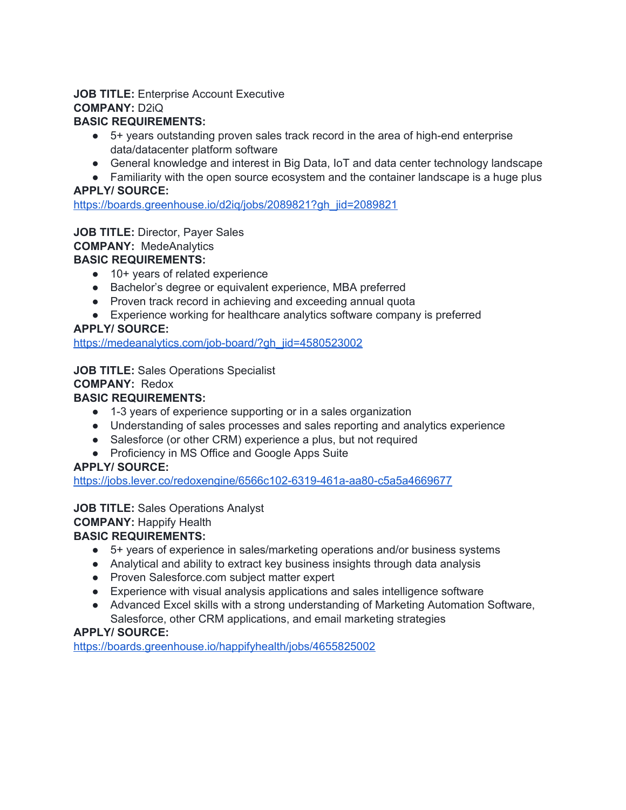### **JOB TITLE:** Enterprise Account Executive **COMPANY:** D2iQ

### **BASIC REQUIREMENTS:**

- 5+ years outstanding proven sales track record in the area of high-end enterprise data/datacenter platform software
- General knowledge and interest in Big Data, IoT and data center technology landscape
- Familiarity with the open source ecosystem and the container landscape is a huge plus

### **APPLY/ SOURCE:**

[https://boards.greenhouse.io/d2iq/jobs/2089821?gh\\_jid=2089821](https://boards.greenhouse.io/d2iq/jobs/2089821?gh_jid=2089821)

#### **JOB TITLE:** Director, Payer Sales

### **COMPANY:** MedeAnalytics

#### **BASIC REQUIREMENTS:**

- 10+ years of related experience
- Bachelor's degree or equivalent experience, MBA preferred
- Proven track record in achieving and exceeding annual quota
- Experience working for healthcare analytics software company is preferred

### **APPLY/ SOURCE:**

[https://medeanalytics.com/job-board/?gh\\_jid=4580523002](https://medeanalytics.com/job-board/?gh_jid=4580523002)

**JOB TITLE:** Sales Operations Specialist

#### **COMPANY:** Redox

### **BASIC REQUIREMENTS:**

- 1-3 years of experience supporting or in a sales organization
- Understanding of sales processes and sales reporting and analytics experience
- Salesforce (or other CRM) experience a plus, but not required
- Proficiency in MS Office and Google Apps Suite

### **APPLY/ SOURCE:**

<https://jobs.lever.co/redoxengine/6566c102-6319-461a-aa80-c5a5a4669677>

### **JOB TITLE:** Sales Operations Analyst

### **COMPANY:** Happify Health

### **BASIC REQUIREMENTS:**

- 5+ years of experience in sales/marketing operations and/or business systems
- Analytical and ability to extract key business insights through data analysis
- Proven Salesforce.com subject matter expert
- Experience with visual analysis applications and sales intelligence software
- Advanced Excel skills with a strong understanding of Marketing Automation Software, Salesforce, other CRM applications, and email marketing strategies

### **APPLY/ SOURCE:**

<https://boards.greenhouse.io/happifyhealth/jobs/4655825002>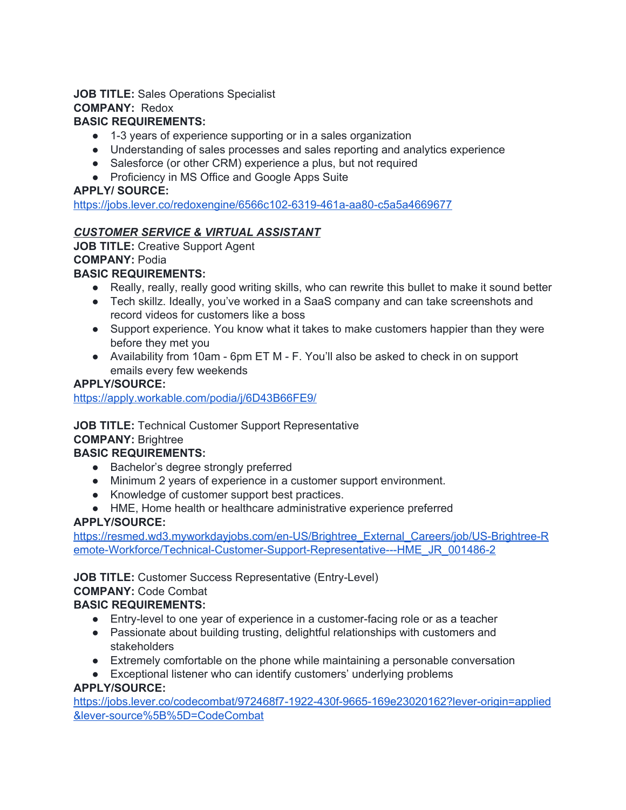#### **JOB TITLE:** Sales Operations Specialist **COMPANY:** Redox

### **BASIC REQUIREMENTS:**

- 1-3 years of experience supporting or in a sales organization
- Understanding of sales processes and sales reporting and analytics experience
- Salesforce (or other CRM) experience a plus, but not required
- Proficiency in MS Office and Google Apps Suite

### **APPLY/ SOURCE:**

<https://jobs.lever.co/redoxengine/6566c102-6319-461a-aa80-c5a5a4669677>

### *CUSTOMER SERVICE & VIRTUAL ASSISTANT*

**JOB TITLE:** Creative Support Agent **COMPANY:** Podia

### **BASIC REQUIREMENTS:**

- Really, really, really good writing skills, who can rewrite this bullet to make it sound better
- Tech skillz. Ideally, you've worked in a SaaS company and can take screenshots and record videos for customers like a boss
- Support experience. You know what it takes to make customers happier than they were before they met you
- Availability from 10am 6pm ET M F. You'll also be asked to check in on support emails every few weekends

### **APPLY/SOURCE:**

<https://apply.workable.com/podia/j/6D43B66FE9/>

### **JOB TITLE:** Technical Customer Support Representative

# **COMPANY:** Brightree

### **BASIC REQUIREMENTS:**

- Bachelor's degree strongly preferred
- Minimum 2 years of experience in a customer support environment.
- Knowledge of customer support best practices.
- HME, Home health or healthcare administrative experience preferred

### **APPLY/SOURCE:**

[https://resmed.wd3.myworkdayjobs.com/en-US/Brightree\\_External\\_Careers/job/US-Brightree-R](https://resmed.wd3.myworkdayjobs.com/en-US/Brightree_External_Careers/job/US-Brightree-Remote-Workforce/Technical-Customer-Support-Representative---HME_JR_001486-2) [emote-Workforce/Technical-Customer-Support-Representative---HME\\_JR\\_001486-2](https://resmed.wd3.myworkdayjobs.com/en-US/Brightree_External_Careers/job/US-Brightree-Remote-Workforce/Technical-Customer-Support-Representative---HME_JR_001486-2)

### **JOB TITLE:** Customer Success Representative (Entry-Level)

### **COMPANY:** Code Combat

### **BASIC REQUIREMENTS:**

- Entry-level to one year of experience in a customer-facing role or as a teacher
- Passionate about building trusting, delightful relationships with customers and stakeholders
- Extremely comfortable on the phone while maintaining a personable conversation
- Exceptional listener who can identify customers' underlying problems

### **APPLY/SOURCE:**

[https://jobs.lever.co/codecombat/972468f7-1922-430f-9665-169e23020162?lever-origin=applied](https://jobs.lever.co/codecombat/972468f7-1922-430f-9665-169e23020162?lever-origin=applied&lever-source%5B%5D=CodeCombat) [&lever-source%5B%5D=CodeCombat](https://jobs.lever.co/codecombat/972468f7-1922-430f-9665-169e23020162?lever-origin=applied&lever-source%5B%5D=CodeCombat)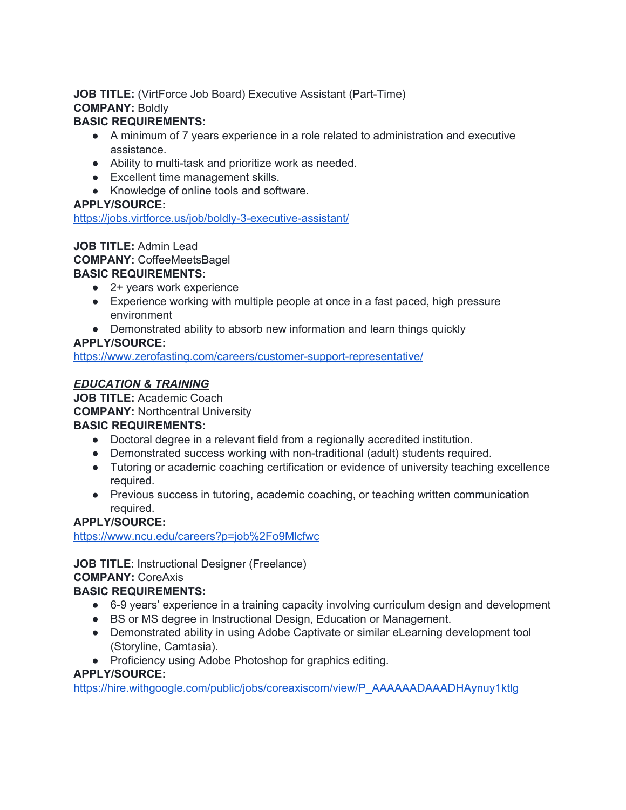### **JOB TITLE:** (VirtForce Job Board) Executive Assistant (Part-Time) **COMPANY:** Boldly

### **BASIC REQUIREMENTS:**

- A minimum of 7 years experience in a role related to administration and executive assistance.
- Ability to multi-task and prioritize work as needed.
- Excellent time management skills.
- Knowledge of online tools and software.

### **APPLY/SOURCE:**

<https://jobs.virtforce.us/job/boldly-3-executive-assistant/>

#### **JOB TITLE:** Admin Lead **COMPANY:** CoffeeMeetsBagel **BASIC REQUIREMENTS:**

- 2+ years work experience
- Experience working with multiple people at once in a fast paced, high pressure environment
- Demonstrated ability to absorb new information and learn things quickly

### **APPLY/SOURCE:**

<https://www.zerofasting.com/careers/customer-support-representative/>

### *EDUCATION & TRAINING*

**JOB TITLE:** Academic Coach **COMPANY:** Northcentral University

### **BASIC REQUIREMENTS:**

- Doctoral degree in a relevant field from a regionally accredited institution.
- Demonstrated success working with non-traditional (adult) students required.
- Tutoring or academic coaching certification or evidence of university teaching excellence required.
- Previous success in tutoring, academic coaching, or teaching written communication required.

### **APPLY/SOURCE:**

<https://www.ncu.edu/careers?p=job%2Fo9Mlcfwc>

**JOB TITLE**: Instructional Designer (Freelance) **COMPANY:** CoreAxis

### **BASIC REQUIREMENTS:**

- 6-9 years' experience in a training capacity involving curriculum design and development
- BS or MS degree in Instructional Design, Education or Management.
- Demonstrated ability in using Adobe Captivate or similar eLearning development tool (Storyline, Camtasia).
- Proficiency using Adobe Photoshop for graphics editing.

### **APPLY/SOURCE:**

[https://hire.withgoogle.com/public/jobs/coreaxiscom/view/P\\_AAAAAADAAADHAynuy1ktlg](https://hire.withgoogle.com/public/jobs/coreaxiscom/view/P_AAAAAADAAADHAynuy1ktlg)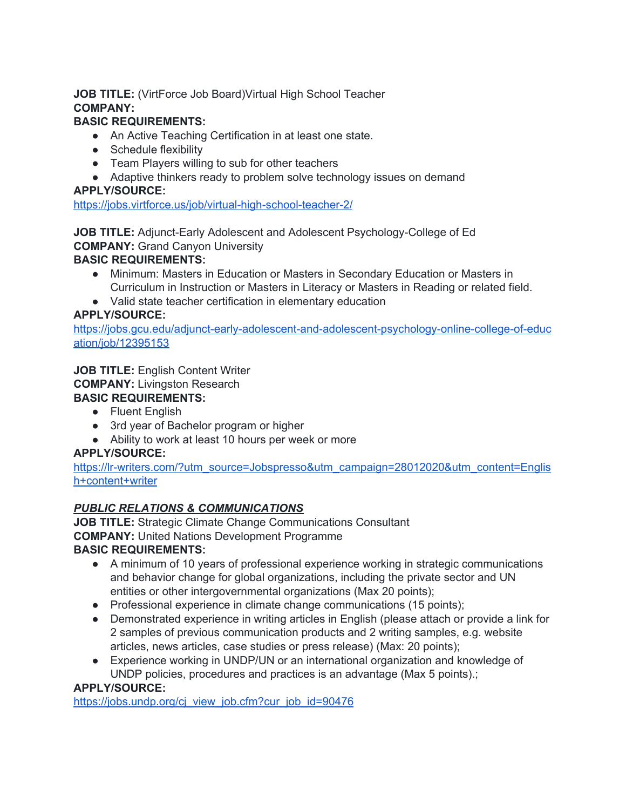### **JOB TITLE:** (VirtForce Job Board)Virtual High School Teacher **COMPANY:**

### **BASIC REQUIREMENTS:**

- An Active Teaching Certification in at least one state.
- Schedule flexibility
- Team Players willing to sub for other teachers
- Adaptive thinkers ready to problem solve technology issues on demand

### **APPLY/SOURCE:**

<https://jobs.virtforce.us/job/virtual-high-school-teacher-2/>

**JOB TITLE:** Adjunct-Early Adolescent and Adolescent Psychology-College of Ed **COMPANY:** Grand Canyon University

### **BASIC REQUIREMENTS:**

- Minimum: Masters in Education or Masters in Secondary Education or Masters in Curriculum in Instruction or Masters in Literacy or Masters in Reading or related field.
- Valid state teacher certification in elementary education

### **APPLY/SOURCE:**

[https://jobs.gcu.edu/adjunct-early-adolescent-and-adolescent-psychology-online-college-of-educ](https://jobs.gcu.edu/adjunct-early-adolescent-and-adolescent-psychology-online-college-of-education/job/12395153) [ation/job/12395153](https://jobs.gcu.edu/adjunct-early-adolescent-and-adolescent-psychology-online-college-of-education/job/12395153)

**JOB TITLE:** English Content Writer

**COMPANY:** Livingston Research

### **BASIC REQUIREMENTS:**

- Fluent English
- 3rd year of Bachelor program or higher
- Ability to work at least 10 hours per week or more

### **APPLY/SOURCE:**

[https://lr-writers.com/?utm\\_source=Jobspresso&utm\\_campaign=28012020&utm\\_content=Englis](https://lr-writers.com/?utm_source=Jobspresso&utm_campaign=28012020&utm_content=English+content+writer) [h+content+writer](https://lr-writers.com/?utm_source=Jobspresso&utm_campaign=28012020&utm_content=English+content+writer)

### *PUBLIC RELATIONS & COMMUNICATIONS*

**JOB TITLE:** Strategic Climate Change Communications Consultant **COMPANY:** United Nations Development Programme

### **BASIC REQUIREMENTS:**

- A minimum of 10 years of professional experience working in strategic communications and behavior change for global organizations, including the private sector and UN entities or other intergovernmental organizations (Max 20 points);
- Professional experience in climate change communications (15 points);
- Demonstrated experience in writing articles in English (please attach or provide a link for 2 samples of previous communication products and 2 writing samples, e.g. website articles, news articles, case studies or press release) (Max: 20 points);
- Experience working in UNDP/UN or an international organization and knowledge of UNDP policies, procedures and practices is an advantage (Max 5 points).;

### **APPLY/SOURCE:**

[https://jobs.undp.org/cj\\_view\\_job.cfm?cur\\_job\\_id=90476](https://jobs.undp.org/cj_view_job.cfm?cur_job_id=90476)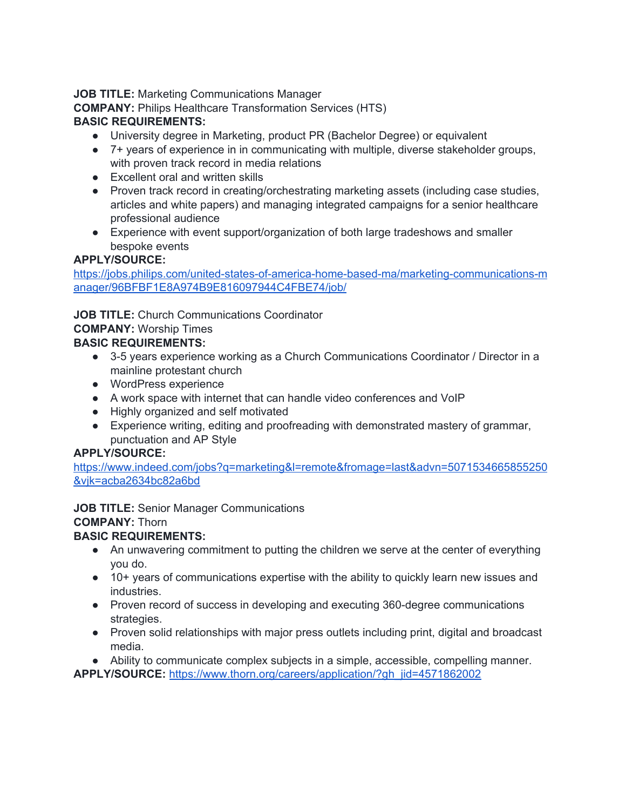**JOB TITLE:** Marketing Communications Manager

**COMPANY:** Philips Healthcare Transformation Services (HTS)

### **BASIC REQUIREMENTS:**

- University degree in Marketing, product PR (Bachelor Degree) or equivalent
- 7+ years of experience in in communicating with multiple, diverse stakeholder groups, with proven track record in media relations
- Excellent oral and written skills
- Proven track record in creating/orchestrating marketing assets (including case studies, articles and white papers) and managing integrated campaigns for a senior healthcare professional audience
- Experience with event support/organization of both large tradeshows and smaller bespoke events

### **APPLY/SOURCE:**

[https://jobs.philips.com/united-states-of-america-home-based-ma/marketing-communications-m](https://jobs.philips.com/united-states-of-america-home-based-ma/marketing-communications-manager/96BFBF1E8A974B9E816097944C4FBE74/job/) [anager/96BFBF1E8A974B9E816097944C4FBE74/job/](https://jobs.philips.com/united-states-of-america-home-based-ma/marketing-communications-manager/96BFBF1E8A974B9E816097944C4FBE74/job/)

**JOB TITLE:** Church Communications Coordinator

# **COMPANY:** Worship Times

### **BASIC REQUIREMENTS:**

- 3-5 years experience working as a Church Communications Coordinator / Director in a mainline protestant church
- WordPress experience
- A work space with internet that can handle video conferences and VoIP
- Highly organized and self motivated
- Experience writing, editing and proofreading with demonstrated mastery of grammar, punctuation and AP Style

### **APPLY/SOURCE:**

[https://www.indeed.com/jobs?q=marketing&l=remote&fromage=last&advn=5071534665855250](https://www.indeed.com/jobs?q=marketing&l=remote&fromage=last&advn=5071534665855250&vjk=acba2634bc82a6bd) [&vjk=acba2634bc82a6bd](https://www.indeed.com/jobs?q=marketing&l=remote&fromage=last&advn=5071534665855250&vjk=acba2634bc82a6bd)

**JOB TITLE:** Senior Manager Communications

# **COMPANY:** Thorn

### **BASIC REQUIREMENTS:**

- An unwavering commitment to putting the children we serve at the center of everything you do.
- 10+ years of communications expertise with the ability to quickly learn new issues and industries.
- Proven record of success in developing and executing 360-degree communications strategies.
- Proven solid relationships with major press outlets including print, digital and broadcast media.
- Ability to communicate complex subjects in a simple, accessible, compelling manner.

**APPLY/SOURCE:** [https://www.thorn.org/careers/application/?gh\\_jid=4571862002](https://www.thorn.org/careers/application/?gh_jid=4571862002)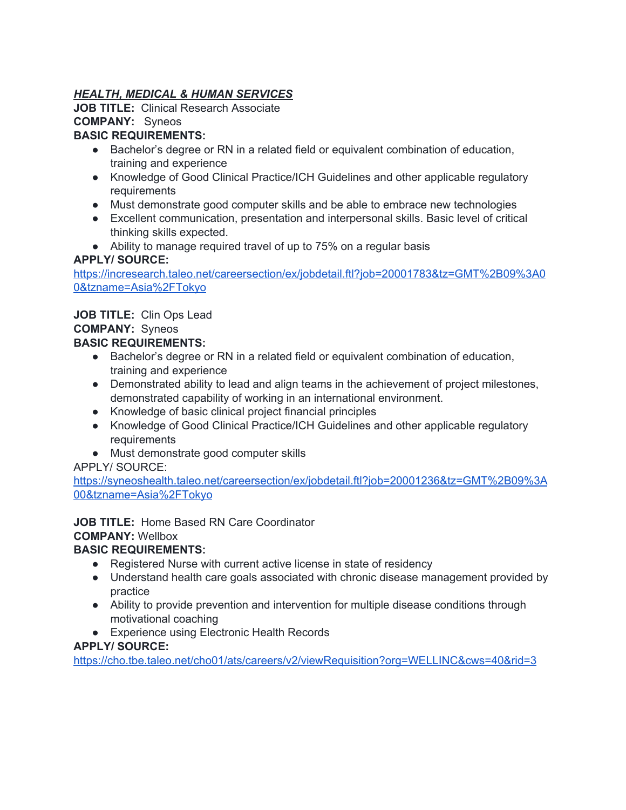### *HEALTH, MEDICAL & HUMAN SERVICES*

**JOB TITLE:** Clinical Research Associate **COMPANY:** Syneos

### **BASIC REQUIREMENTS:**

- Bachelor's degree or RN in a related field or equivalent combination of education, training and experience
- Knowledge of Good Clinical Practice/ICH Guidelines and other applicable regulatory requirements
- Must demonstrate good computer skills and be able to embrace new technologies
- Excellent communication, presentation and interpersonal skills. Basic level of critical thinking skills expected.
- Ability to manage required travel of up to 75% on a regular basis

### **APPLY/ SOURCE:**

[https://incresearch.taleo.net/careersection/ex/jobdetail.ftl?job=20001783&tz=GMT%2B09%3A0](https://incresearch.taleo.net/careersection/ex/jobdetail.ftl?job=20001783&tz=GMT%2B09%3A00&tzname=Asia%2FTokyo) [0&tzname=Asia%2FTokyo](https://incresearch.taleo.net/careersection/ex/jobdetail.ftl?job=20001783&tz=GMT%2B09%3A00&tzname=Asia%2FTokyo)

# **JOB TITLE:** Clin Ops Lead

### **COMPANY:** Syneos

### **BASIC REQUIREMENTS:**

- Bachelor's degree or RN in a related field or equivalent combination of education, training and experience
- Demonstrated ability to lead and align teams in the achievement of project milestones, demonstrated capability of working in an international environment.
- Knowledge of basic clinical project financial principles
- Knowledge of Good Clinical Practice/ICH Guidelines and other applicable regulatory requirements
- Must demonstrate good computer skills

### APPLY/ SOURCE:

[https://syneoshealth.taleo.net/careersection/ex/jobdetail.ftl?job=20001236&tz=GMT%2B09%3A](https://syneoshealth.taleo.net/careersection/ex/jobdetail.ftl?job=20001236&tz=GMT%2B09%3A00&tzname=Asia%2FTokyo) [00&tzname=Asia%2FTokyo](https://syneoshealth.taleo.net/careersection/ex/jobdetail.ftl?job=20001236&tz=GMT%2B09%3A00&tzname=Asia%2FTokyo)

**JOB TITLE:** Home Based RN Care Coordinator

### **COMPANY:** Wellbox

### **BASIC REQUIREMENTS:**

- Registered Nurse with current active license in state of residency
- Understand health care goals associated with chronic disease management provided by practice
- Ability to provide prevention and intervention for multiple disease conditions through motivational coaching
- Experience using Electronic Health Records

### **APPLY/ SOURCE:**

<https://cho.tbe.taleo.net/cho01/ats/careers/v2/viewRequisition?org=WELLINC&cws=40&rid=3>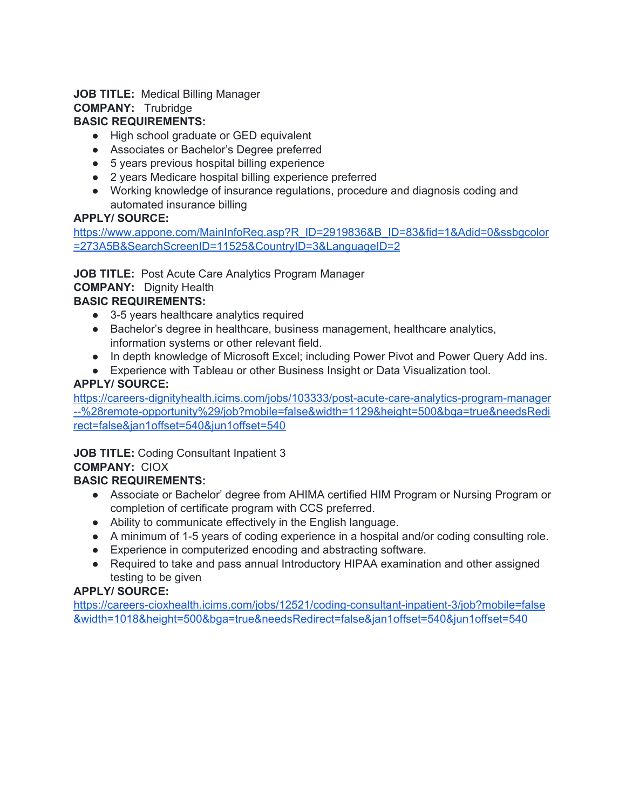#### **JOB TITLE:** Medical Billing Manager **COMPANY:** Trubridge

### **BASIC REQUIREMENTS:**

- High school graduate or GED equivalent
- Associates or Bachelor's Degree preferred
- 5 years previous hospital billing experience
- 2 years Medicare hospital billing experience preferred
- Working knowledge of insurance regulations, procedure and diagnosis coding and automated insurance billing

### **APPLY/ SOURCE:**

[https://www.appone.com/MainInfoReq.asp?R\\_ID=2919836&B\\_ID=83&fid=1&Adid=0&ssbgcolor](https://www.appone.com/MainInfoReq.asp?R_ID=2919836&B_ID=83&fid=1&Adid=0&ssbgcolor=273A5B&SearchScreenID=11525&CountryID=3&LanguageID=2) [=273A5B&SearchScreenID=11525&CountryID=3&LanguageID=2](https://www.appone.com/MainInfoReq.asp?R_ID=2919836&B_ID=83&fid=1&Adid=0&ssbgcolor=273A5B&SearchScreenID=11525&CountryID=3&LanguageID=2)

**JOB TITLE:** Post Acute Care Analytics Program Manager

### **COMPANY:** Dignity Health

### **BASIC REQUIREMENTS:**

- 3-5 years healthcare analytics required
- Bachelor's degree in healthcare, business management, healthcare analytics, information systems or other relevant field.
- In depth knowledge of Microsoft Excel; including Power Pivot and Power Query Add ins.
- Experience with Tableau or other Business Insight or Data Visualization tool.

### **APPLY/ SOURCE:**

[https://careers-dignityhealth.icims.com/jobs/103333/post-acute-care-analytics-program-manager](https://careers-dignityhealth.icims.com/jobs/103333/post-acute-care-analytics-program-manager--%28remote-opportunity%29/job?mobile=false&width=1129&height=500&bga=true&needsRedirect=false&jan1offset=540&jun1offset=540) [--%28remote-opportunity%29/job?mobile=false&width=1129&height=500&bga=true&needsRedi](https://careers-dignityhealth.icims.com/jobs/103333/post-acute-care-analytics-program-manager--%28remote-opportunity%29/job?mobile=false&width=1129&height=500&bga=true&needsRedirect=false&jan1offset=540&jun1offset=540) [rect=false&jan1offset=540&jun1offset=540](https://careers-dignityhealth.icims.com/jobs/103333/post-acute-care-analytics-program-manager--%28remote-opportunity%29/job?mobile=false&width=1129&height=500&bga=true&needsRedirect=false&jan1offset=540&jun1offset=540)

**JOB TITLE:** Coding Consultant Inpatient 3 **COMPANY:** CIOX

### **BASIC REQUIREMENTS:**

- Associate or Bachelor' degree from AHIMA certified HIM Program or Nursing Program or completion of certificate program with CCS preferred.
- Ability to communicate effectively in the English language.
- A minimum of 1-5 years of coding experience in a hospital and/or coding consulting role.
- Experience in computerized encoding and abstracting software.
- Required to take and pass annual Introductory HIPAA examination and other assigned testing to be given

### **APPLY/ SOURCE:**

[https://careers-cioxhealth.icims.com/jobs/12521/coding-consultant-inpatient-3/job?mobile=false](https://careers-cioxhealth.icims.com/jobs/12521/coding-consultant-inpatient-3/job?mobile=false&width=1018&height=500&bga=true&needsRedirect=false&jan1offset=540&jun1offset=540) [&width=1018&height=500&bga=true&needsRedirect=false&jan1offset=540&jun1offset=540](https://careers-cioxhealth.icims.com/jobs/12521/coding-consultant-inpatient-3/job?mobile=false&width=1018&height=500&bga=true&needsRedirect=false&jan1offset=540&jun1offset=540)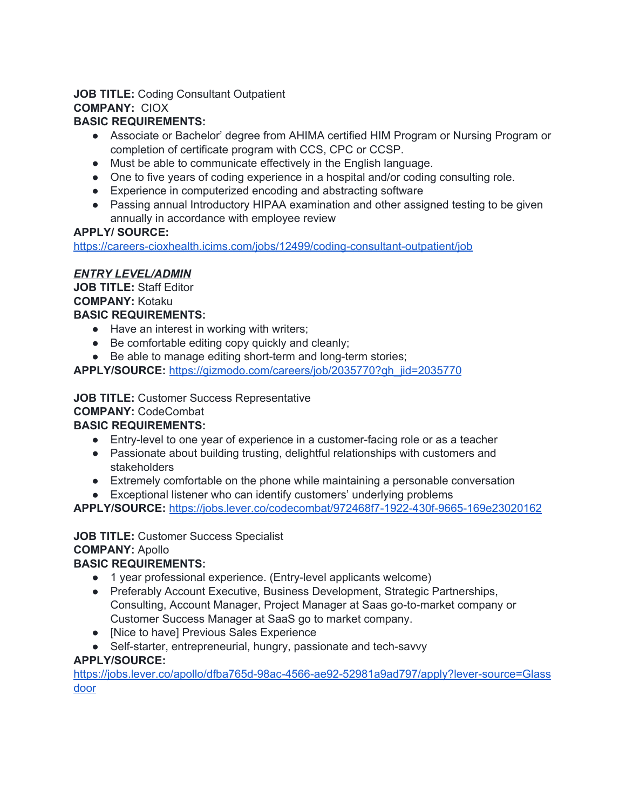#### **JOB TITLE:** Coding Consultant Outpatient **COMPANY:** CIOX

### **BASIC REQUIREMENTS:**

- Associate or Bachelor' degree from AHIMA certified HIM Program or Nursing Program or completion of certificate program with CCS, CPC or CCSP.
- Must be able to communicate effectively in the English language.
- One to five years of coding experience in a hospital and/or coding consulting role.
- Experience in computerized encoding and abstracting software
- Passing annual Introductory HIPAA examination and other assigned testing to be given annually in accordance with employee review

### **APPLY/ SOURCE:**

<https://careers-cioxhealth.icims.com/jobs/12499/coding-consultant-outpatient/job>

### *ENTRY LEVEL/ADMIN*

**JOB TITLE:** Staff Editor **COMPANY:** Kotaku **BASIC REQUIREMENTS:**

- Have an interest in working with writers;
- Be comfortable editing copy quickly and cleanly;
- Be able to manage editing short-term and long-term stories;

**APPLY/SOURCE:** [https://gizmodo.com/careers/job/2035770?gh\\_jid=2035770](https://gizmodo.com/careers/job/2035770?gh_jid=2035770)

**JOB TITLE:** Customer Success Representative **COMPANY:** CodeCombat

### **BASIC REQUIREMENTS:**

- Entry-level to one year of experience in a customer-facing role or as a teacher
- Passionate about building trusting, delightful relationships with customers and stakeholders
- Extremely comfortable on the phone while maintaining a personable conversation
- Exceptional listener who can identify customers' underlying problems

**APPLY/SOURCE:** <https://jobs.lever.co/codecombat/972468f7-1922-430f-9665-169e23020162>

**JOB TITLE:** Customer Success Specialist

### **COMPANY:** Apollo

### **BASIC REQUIREMENTS:**

- 1 year professional experience. (Entry-level applicants welcome)
- Preferably Account Executive, Business Development, Strategic Partnerships, Consulting, Account Manager, Project Manager at Saas go-to-market company or Customer Success Manager at SaaS go to market company.
- [Nice to have] Previous Sales Experience
- Self-starter, entrepreneurial, hungry, passionate and tech-savvy

### **APPLY/SOURCE:**

[https://jobs.lever.co/apollo/dfba765d-98ac-4566-ae92-52981a9ad797/apply?lever-source=Glass](https://jobs.lever.co/apollo/dfba765d-98ac-4566-ae92-52981a9ad797/apply?lever-source=Glassdoor) [door](https://jobs.lever.co/apollo/dfba765d-98ac-4566-ae92-52981a9ad797/apply?lever-source=Glassdoor)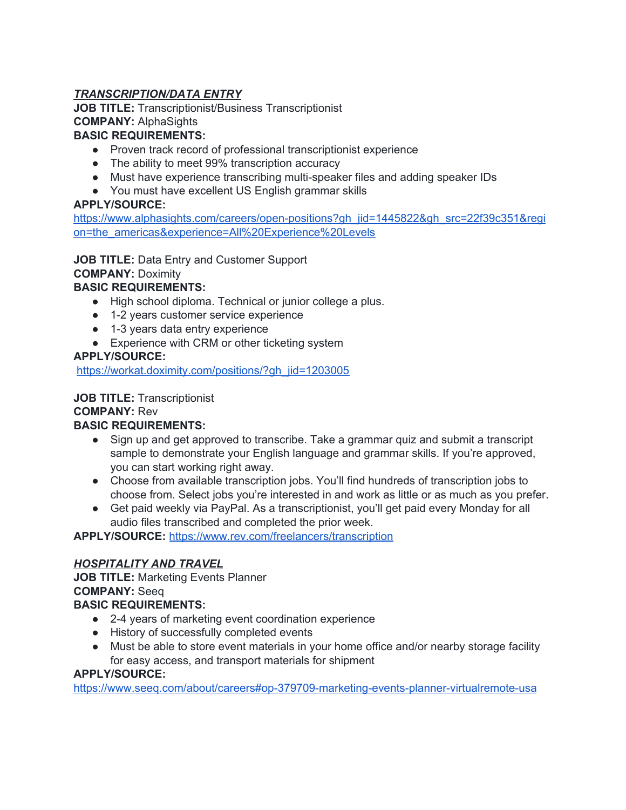### *TRANSCRIPTION/DATA ENTRY*

**JOB TITLE:** Transcriptionist/Business Transcriptionist **COMPANY:** AlphaSights

#### **BASIC REQUIREMENTS:**

- Proven track record of professional transcriptionist experience
- The ability to meet 99% transcription accuracy
- Must have experience transcribing multi-speaker files and adding speaker IDs
- You must have excellent US English grammar skills

#### **APPLY/SOURCE:**

[https://www.alphasights.com/careers/open-positions?gh\\_jid=1445822&gh\\_src=22f39c351&regi](https://www.alphasights.com/careers/open-positions?gh_jid=1445822&gh_src=22f39c351®ion=the_americas&experience=All%20Experience%20Levels) [on=the\\_americas&experience=All%20Experience%20Levels](https://www.alphasights.com/careers/open-positions?gh_jid=1445822&gh_src=22f39c351®ion=the_americas&experience=All%20Experience%20Levels)

**JOB TITLE:** Data Entry and Customer Support

# **COMPANY:** Doximity

### **BASIC REQUIREMENTS:**

- High school diploma. Technical or junior college a plus.
- 1-2 years customer service experience
- 1-3 years data entry experience
- Experience with CRM or other ticketing system

#### **APPLY/SOURCE:**

[https://workat.doximity.com/positions/?gh\\_jid=1203005](https://workat.doximity.com/positions/?gh_jid=1203005)

#### **JOB TITLE:** Transcriptionist

#### **COMPANY:** Rev

### **BASIC REQUIREMENTS:**

- Sign up and get approved to transcribe. Take a grammar quiz and submit a transcript sample to demonstrate your English language and grammar skills. If you're approved, you can start working right away.
- Choose from available transcription jobs. You'll find hundreds of transcription jobs to choose from. Select jobs you're interested in and work as little or as much as you prefer.
- Get paid weekly via PayPal. As a transcriptionist, you'll get paid every Monday for all audio files transcribed and completed the prior week.

**APPLY/SOURCE:** <https://www.rev.com/freelancers/transcription>

### *HOSPITALITY AND TRAVEL*

**JOB TITLE:** Marketing Events Planner **COMPANY:** Seeq **BASIC REQUIREMENTS:**

- 2-4 years of marketing event coordination experience
- History of successfully completed events
- Must be able to store event materials in your home office and/or nearby storage facility for easy access, and transport materials for shipment

#### **APPLY/SOURCE:**

<https://www.seeq.com/about/careers#op-379709-marketing-events-planner-virtualremote-usa>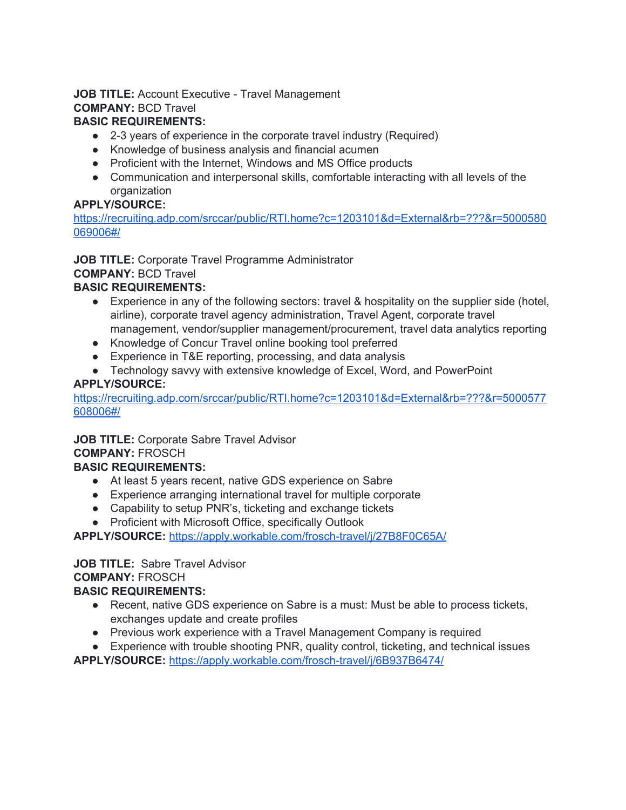# **JOB TITLE:** Account Executive - Travel Management **COMPANY:** BCD Travel

## **BASIC REQUIREMENTS:**

- 2-3 years of experience in the corporate travel industry (Required)
- Knowledge of business analysis and financial acumen
- Proficient with the Internet, Windows and MS Office products
- Communication and interpersonal skills, comfortable interacting with all levels of the organization

#### **APPLY/SOURCE:**

[https://recruiting.adp.com/srccar/public/RTI.home?c=1203101&d=External&rb=???&r=5000580](https://recruiting.adp.com/srccar/public/RTI.home?c=1203101&d=External&rb=???&r=5000580069006#/) [069006#/](https://recruiting.adp.com/srccar/public/RTI.home?c=1203101&d=External&rb=???&r=5000580069006#/)

**JOB TITLE:** Corporate Travel Programme Administrator **COMPANY:** BCD Travel

### **BASIC REQUIREMENTS:**

- Experience in any of the following sectors: travel & hospitality on the supplier side (hotel, airline), corporate travel agency administration, Travel Agent, corporate travel management, vendor/supplier management/procurement, travel data analytics reporting
- Knowledge of Concur Travel online booking tool preferred
- Experience in T&E reporting, processing, and data analysis
- Technology savvy with extensive knowledge of Excel, Word, and PowerPoint

### **APPLY/SOURCE:**

[https://recruiting.adp.com/srccar/public/RTI.home?c=1203101&d=External&rb=???&r=5000577](https://recruiting.adp.com/srccar/public/RTI.home?c=1203101&d=External&rb=???&r=5000577608006#/) [608006#/](https://recruiting.adp.com/srccar/public/RTI.home?c=1203101&d=External&rb=???&r=5000577608006#/)

**JOB TITLE:** Corporate Sabre Travel Advisor **COMPANY:** FROSCH

### **BASIC REQUIREMENTS:**

- At least 5 years recent, native GDS experience on Sabre
- Experience arranging international travel for multiple corporate
- Capability to setup PNR's, ticketing and exchange tickets
- Proficient with Microsoft Office, specifically Outlook

**APPLY/SOURCE:** <https://apply.workable.com/frosch-travel/j/27B8F0C65A/>

#### **JOB TITLE:** Sabre Travel Advisor **COMPANY:** FROSCH **BASIC REQUIREMENTS:**

- Recent, native GDS experience on Sabre is a must: Must be able to process tickets, exchanges update and create profiles
- Previous work experience with a Travel Management Company is required
- Experience with trouble shooting PNR, quality control, ticketing, and technical issues

**APPLY/SOURCE:** <https://apply.workable.com/frosch-travel/j/6B937B6474/>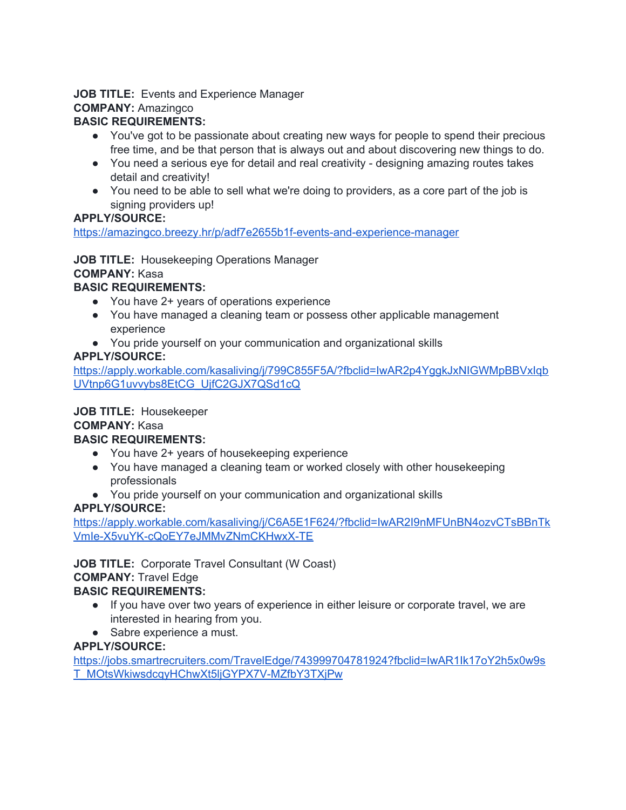# **JOB TITLE:** Events and Experience Manager **COMPANY:** Amazingco

### **BASIC REQUIREMENTS:**

- You've got to be passionate about creating new ways for people to spend their precious free time, and be that person that is always out and about discovering new things to do.
- You need a serious eye for detail and real creativity designing amazing routes takes detail and creativity!
- You need to be able to sell what we're doing to providers, as a core part of the job is signing providers up!

### **APPLY/SOURCE:**

<https://amazingco.breezy.hr/p/adf7e2655b1f-events-and-experience-manager>

**JOB TITLE:** Housekeeping Operations Manager **COMPANY:** Kasa

### **BASIC REQUIREMENTS:**

- You have 2+ years of operations experience
- You have managed a cleaning team or possess other applicable management experience
- You pride yourself on your communication and organizational skills

### **APPLY/SOURCE:**

[https://apply.workable.com/kasaliving/j/799C855F5A/?fbclid=IwAR2p4YggkJxNIGWMpBBVxIqb](https://apply.workable.com/kasaliving/j/799C855F5A/?fbclid=IwAR2p4YggkJxNIGWMpBBVxIqbUVtnp6G1uvvybs8EtCG_UjfC2GJX7QSd1cQ) [UVtnp6G1uvvybs8EtCG\\_UjfC2GJX7QSd1cQ](https://apply.workable.com/kasaliving/j/799C855F5A/?fbclid=IwAR2p4YggkJxNIGWMpBBVxIqbUVtnp6G1uvvybs8EtCG_UjfC2GJX7QSd1cQ)

### **JOB TITLE:** Housekeeper

### **COMPANY:** Kasa

### **BASIC REQUIREMENTS:**

- You have 2+ years of housekeeping experience
- You have managed a cleaning team or worked closely with other housekeeping professionals
- You pride yourself on your communication and organizational skills

### **APPLY/SOURCE:**

[https://apply.workable.com/kasaliving/j/C6A5E1F624/?fbclid=IwAR2I9nMFUnBN4ozvCTsBBnTk](https://apply.workable.com/kasaliving/j/C6A5E1F624/?fbclid=IwAR2I9nMFUnBN4ozvCTsBBnTkVmIe-X5vuYK-cQoEY7eJMMvZNmCKHwxX-TE) [VmIe-X5vuYK-cQoEY7eJMMvZNmCKHwxX-TE](https://apply.workable.com/kasaliving/j/C6A5E1F624/?fbclid=IwAR2I9nMFUnBN4ozvCTsBBnTkVmIe-X5vuYK-cQoEY7eJMMvZNmCKHwxX-TE)

### **JOB TITLE:** Corporate Travel Consultant (W Coast) **COMPANY:** Travel Edge

### **BASIC REQUIREMENTS:**

- If you have over two years of experience in either leisure or corporate travel, we are interested in hearing from you.
- Sabre experience a must.

### **APPLY/SOURCE:**

[https://jobs.smartrecruiters.com/TravelEdge/743999704781924?fbclid=IwAR1Ik17oY2h5x0w9s](https://jobs.smartrecruiters.com/TravelEdge/743999704781924?fbclid=IwAR1Ik17oY2h5x0w9sT_MOtsWkiwsdcqyHChwXt5ljGYPX7V-MZfbY3TXjPw) [T\\_MOtsWkiwsdcqyHChwXt5ljGYPX7V-MZfbY3TXjPw](https://jobs.smartrecruiters.com/TravelEdge/743999704781924?fbclid=IwAR1Ik17oY2h5x0w9sT_MOtsWkiwsdcqyHChwXt5ljGYPX7V-MZfbY3TXjPw)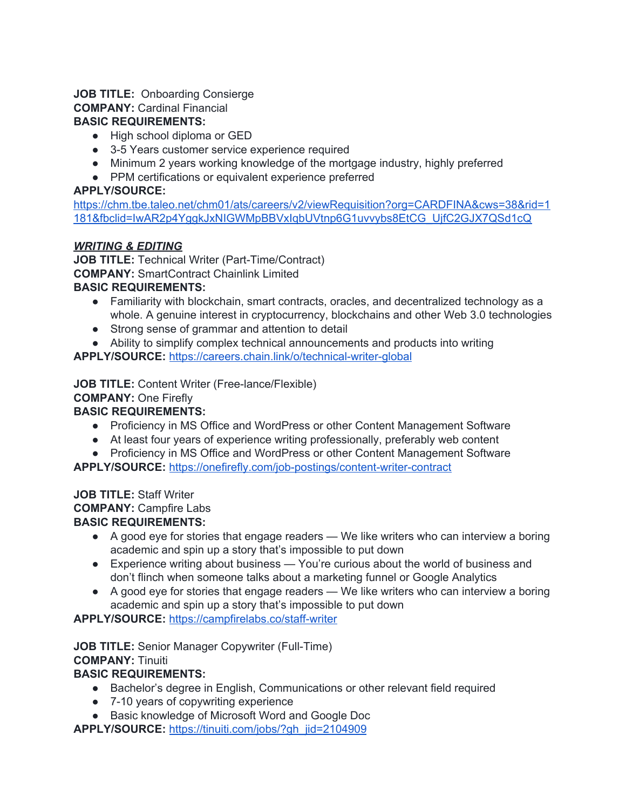### **JOB TITLE:** Onboarding Consierge

**COMPANY:** Cardinal Financial

### **BASIC REQUIREMENTS:**

- High school diploma or GED
- 3-5 Years customer service experience required
- Minimum 2 years working knowledge of the mortgage industry, highly preferred
- PPM certifications or equivalent experience preferred

### **APPLY/SOURCE:**

[https://chm.tbe.taleo.net/chm01/ats/careers/v2/viewRequisition?org=CARDFINA&cws=38&rid=1](https://chm.tbe.taleo.net/chm01/ats/careers/v2/viewRequisition?org=CARDFINA&cws=38&rid=1181&fbclid=IwAR2p4YggkJxNIGWMpBBVxIqbUVtnp6G1uvvybs8EtCG_UjfC2GJX7QSd1cQ) [181&fbclid=IwAR2p4YggkJxNIGWMpBBVxIqbUVtnp6G1uvvybs8EtCG\\_UjfC2GJX7QSd1cQ](https://chm.tbe.taleo.net/chm01/ats/careers/v2/viewRequisition?org=CARDFINA&cws=38&rid=1181&fbclid=IwAR2p4YggkJxNIGWMpBBVxIqbUVtnp6G1uvvybs8EtCG_UjfC2GJX7QSd1cQ)

### *WRITING & EDITING*

**JOB TITLE:** Technical Writer (Part-Time/Contract) **COMPANY:** SmartContract Chainlink Limited **BASIC REQUIREMENTS:**

- Familiarity with blockchain, smart contracts, oracles, and decentralized technology as a whole. A genuine interest in cryptocurrency, blockchains and other Web 3.0 technologies
- Strong sense of grammar and attention to detail
- Ability to simplify complex technical announcements and products into writing

**APPLY/SOURCE:** <https://careers.chain.link/o/technical-writer-global>

**JOB TITLE:** Content Writer (Free-lance/Flexible)

#### **COMPANY:** One Firefly

### **BASIC REQUIREMENTS:**

- Proficiency in MS Office and WordPress or other Content Management Software
- At least four years of experience writing professionally, preferably web content
- Proficiency in MS Office and WordPress or other Content Management Software

**APPLY/SOURCE:** <https://onefirefly.com/job-postings/content-writer-contract>

#### **JOB TITLE:** Staff Writer **COMPANY:** Campfire Labs **BASIC REQUIREMENTS:**

- A good eye for stories that engage readers We like writers who can interview a boring academic and spin up a story that's impossible to put down
- Experience writing about business You're curious about the world of business and don't flinch when someone talks about a marketing funnel or Google Analytics
- A good eye for stories that engage readers We like writers who can interview a boring academic and spin up a story that's impossible to put down

**APPLY/SOURCE:** <https://campfirelabs.co/staff-writer>

**JOB TITLE:** Senior Manager Copywriter (Full-Time) **COMPANY:** Tinuiti

### **BASIC REQUIREMENTS:**

- Bachelor's degree in English, Communications or other relevant field required
- 7-10 years of copywriting experience
- Basic knowledge of Microsoft Word and Google Doc

**APPLY/SOURCE:** [https://tinuiti.com/jobs/?gh\\_jid=2104909](https://tinuiti.com/jobs/?gh_jid=2104909)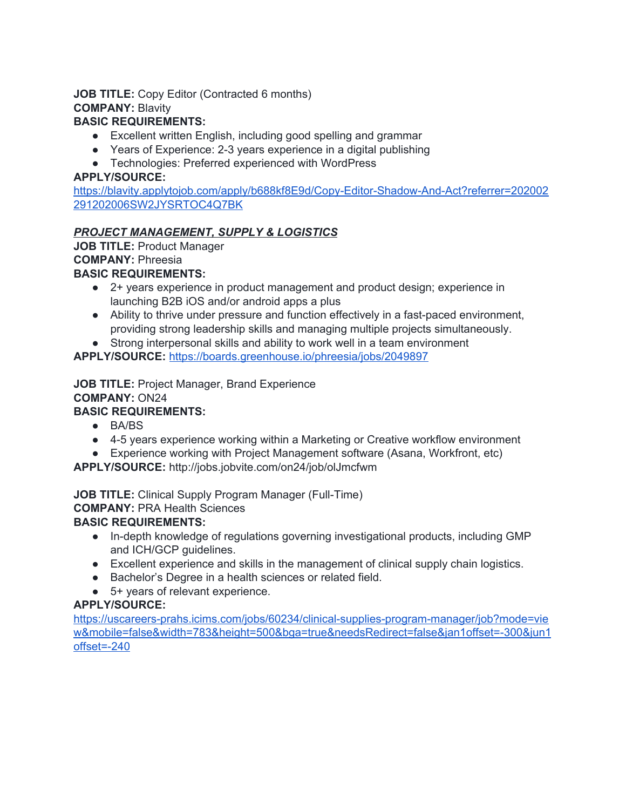## **JOB TITLE:** Copy Editor (Contracted 6 months) **COMPANY:** Blavity

### **BASIC REQUIREMENTS:**

- Excellent written English, including good spelling and grammar
- Years of Experience: 2-3 years experience in a digital publishing
- Technologies: Preferred experienced with WordPress

### **APPLY/SOURCE:**

[https://blavity.applytojob.com/apply/b688kf8E9d/Copy-Editor-Shadow-And-Act?referrer=202002](https://blavity.applytojob.com/apply/b688kf8E9d/Copy-Editor-Shadow-And-Act?referrer=202002291202006SW2JYSRTOC4Q7BK) [291202006SW2JYSRTOC4Q7BK](https://blavity.applytojob.com/apply/b688kf8E9d/Copy-Editor-Shadow-And-Act?referrer=202002291202006SW2JYSRTOC4Q7BK)

### *PROJECT MANAGEMENT, SUPPLY & LOGISTICS*

**JOB TITLE:** Product Manager **COMPANY:** Phreesia **BASIC REQUIREMENTS:**

- 2+ years experience in product management and product design; experience in launching B2B iOS and/or android apps a plus
- Ability to thrive under pressure and function effectively in a fast-paced environment, providing strong leadership skills and managing multiple projects simultaneously.
- Strong interpersonal skills and ability to work well in a team environment

**APPLY/SOURCE:** <https://boards.greenhouse.io/phreesia/jobs/2049897>

**JOB TITLE:** Project Manager, Brand Experience

#### **COMPANY:** ON24

### **BASIC REQUIREMENTS:**

- BA/BS
- 4-5 years experience working within a Marketing or Creative workflow environment
- Experience working with Project Management software (Asana, Workfront, etc)

**APPLY/SOURCE:** http://jobs.jobvite.com/on24/job/olJmcfwm

**JOB TITLE:** Clinical Supply Program Manager (Full-Time) **COMPANY:** PRA Health Sciences

### **BASIC REQUIREMENTS:**

- In-depth knowledge of regulations governing investigational products, including GMP and ICH/GCP guidelines.
- Excellent experience and skills in the management of clinical supply chain logistics.
- Bachelor's Degree in a health sciences or related field.
- 5+ years of relevant experience.

### **APPLY/SOURCE:**

[https://uscareers-prahs.icims.com/jobs/60234/clinical-supplies-program-manager/job?mode=vie](https://uscareers-prahs.icims.com/jobs/60234/clinical-supplies-program-manager/job?mode=view&mobile=false&width=783&height=500&bga=true&needsRedirect=false&jan1offset=-300&jun1offset=-240) [w&mobile=false&width=783&height=500&bga=true&needsRedirect=false&jan1offset=-300&jun1](https://uscareers-prahs.icims.com/jobs/60234/clinical-supplies-program-manager/job?mode=view&mobile=false&width=783&height=500&bga=true&needsRedirect=false&jan1offset=-300&jun1offset=-240) [offset=-240](https://uscareers-prahs.icims.com/jobs/60234/clinical-supplies-program-manager/job?mode=view&mobile=false&width=783&height=500&bga=true&needsRedirect=false&jan1offset=-300&jun1offset=-240)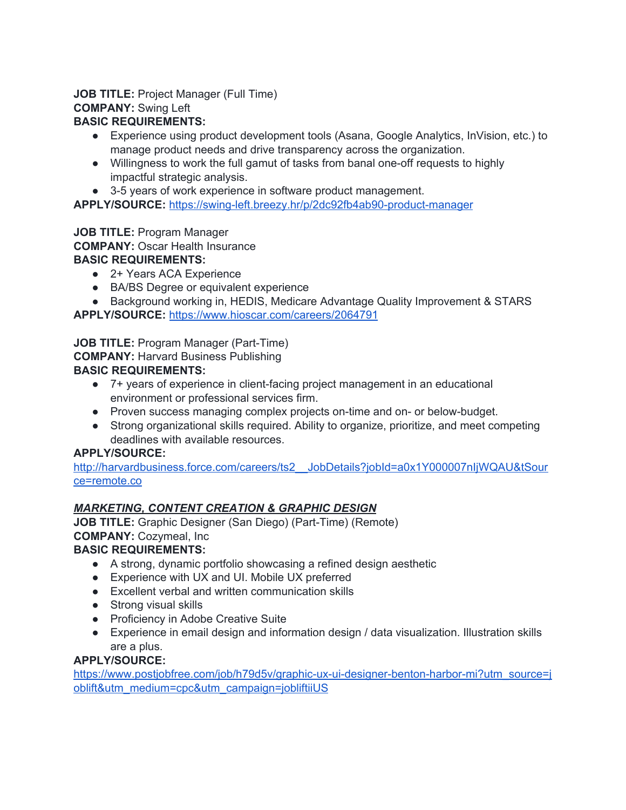# **JOB TITLE:** Project Manager (Full Time) **COMPANY:** Swing Left

## **BASIC REQUIREMENTS:**

- Experience using product development tools (Asana, Google Analytics, InVision, etc.) to manage product needs and drive transparency across the organization.
- Willingness to work the full gamut of tasks from banal one-off requests to highly impactful strategic analysis.
- 3-5 years of work experience in software product management.

**APPLY/SOURCE:** <https://swing-left.breezy.hr/p/2dc92fb4ab90-product-manager>

### **JOB TITLE:** Program Manager

**COMPANY:** Oscar Health Insurance

### **BASIC REQUIREMENTS:**

- 2+ Years ACA Experience
- BA/BS Degree or equivalent experience
- Background working in, HEDIS, Medicare Advantage Quality Improvement & STARS **APPLY/SOURCE:** <https://www.hioscar.com/careers/2064791>

**JOB TITLE:** Program Manager (Part-Time) **COMPANY:** Harvard Business Publishing **BASIC REQUIREMENTS:**

- 7+ years of experience in client-facing project management in an educational environment or professional services firm.
- Proven success managing complex projects on-time and on- or below-budget.
- Strong organizational skills required. Ability to organize, prioritize, and meet competing deadlines with available resources.

### **APPLY/SOURCE:**

[http://harvardbusiness.force.com/careers/ts2\\_\\_JobDetails?jobId=a0x1Y000007nIjWQAU&tSour](http://harvardbusiness.force.com/careers/ts2__JobDetails?jobId=a0x1Y000007nIjWQAU&tSource=remote.co) [ce=remote.co](http://harvardbusiness.force.com/careers/ts2__JobDetails?jobId=a0x1Y000007nIjWQAU&tSource=remote.co)

### *MARKETING, CONTENT CREATION & GRAPHIC DESIGN*

**JOB TITLE:** Graphic Designer (San Diego) (Part-Time) (Remote) **COMPANY:** Cozymeal, Inc

### **BASIC REQUIREMENTS:**

- A strong, dynamic portfolio showcasing a refined design aesthetic
- Experience with UX and UI. Mobile UX preferred
- Excellent verbal and written communication skills
- Strong visual skills
- Proficiency in Adobe Creative Suite
- Experience in email design and information design / data visualization. Illustration skills are a plus.

### **APPLY/SOURCE:**

[https://www.postjobfree.com/job/h79d5v/graphic-ux-ui-designer-benton-harbor-mi?utm\\_source=j](https://www.postjobfree.com/job/h79d5v/graphic-ux-ui-designer-benton-harbor-mi?utm_source=joblift&utm_medium=cpc&utm_campaign=jobliftiiUS) [oblift&utm\\_medium=cpc&utm\\_campaign=jobliftiiUS](https://www.postjobfree.com/job/h79d5v/graphic-ux-ui-designer-benton-harbor-mi?utm_source=joblift&utm_medium=cpc&utm_campaign=jobliftiiUS)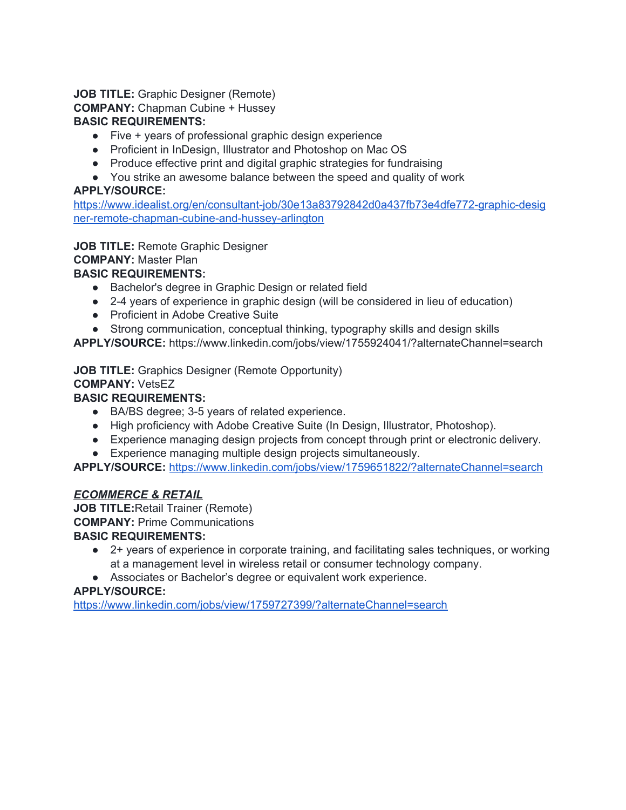**JOB TITLE:** Graphic Designer (Remote)

**COMPANY:** Chapman Cubine + Hussey

### **BASIC REQUIREMENTS:**

- Five + years of professional graphic design experience
- Proficient in InDesign, Illustrator and Photoshop on Mac OS
- Produce effective print and digital graphic strategies for fundraising
- You strike an awesome balance between the speed and quality of work

### **APPLY/SOURCE:**

[https://www.idealist.org/en/consultant-job/30e13a83792842d0a437fb73e4dfe772-graphic-desig](https://www.idealist.org/en/consultant-job/30e13a83792842d0a437fb73e4dfe772-graphic-designer-remote-chapman-cubine-and-hussey-arlington) [ner-remote-chapman-cubine-and-hussey-arlington](https://www.idealist.org/en/consultant-job/30e13a83792842d0a437fb73e4dfe772-graphic-designer-remote-chapman-cubine-and-hussey-arlington)

**JOB TITLE:** Remote Graphic Designer

### **COMPANY:** Master Plan

### **BASIC REQUIREMENTS:**

- Bachelor's degree in Graphic Design or related field
- 2-4 years of experience in graphic design (will be considered in lieu of education)
- Proficient in Adobe Creative Suite
- Strong communication, conceptual thinking, typography skills and design skills

**APPLY/SOURCE:** https://www.linkedin.com/jobs/view/1755924041/?alternateChannel=search

**JOB TITLE:** Graphics Designer (Remote Opportunity) **COMPANY:** VetsEZ

### **BASIC REQUIREMENTS:**

- BA/BS degree; 3-5 years of related experience.
- High proficiency with Adobe Creative Suite (In Design, Illustrator, Photoshop).
- Experience managing design projects from concept through print or electronic delivery.
- Experience managing multiple design projects simultaneously.

**APPLY/SOURCE:** <https://www.linkedin.com/jobs/view/1759651822/?alternateChannel=search>

### *ECOMMERCE & RETAIL*

**JOB TITLE:**Retail Trainer (Remote) **COMPANY:** Prime Communications **BASIC REQUIREMENTS:**

- 2+ years of experience in corporate training, and facilitating sales techniques, or working at a management level in wireless retail or consumer technology company.
- Associates or Bachelor's degree or equivalent work experience.

### **APPLY/SOURCE:**

<https://www.linkedin.com/jobs/view/1759727399/?alternateChannel=search>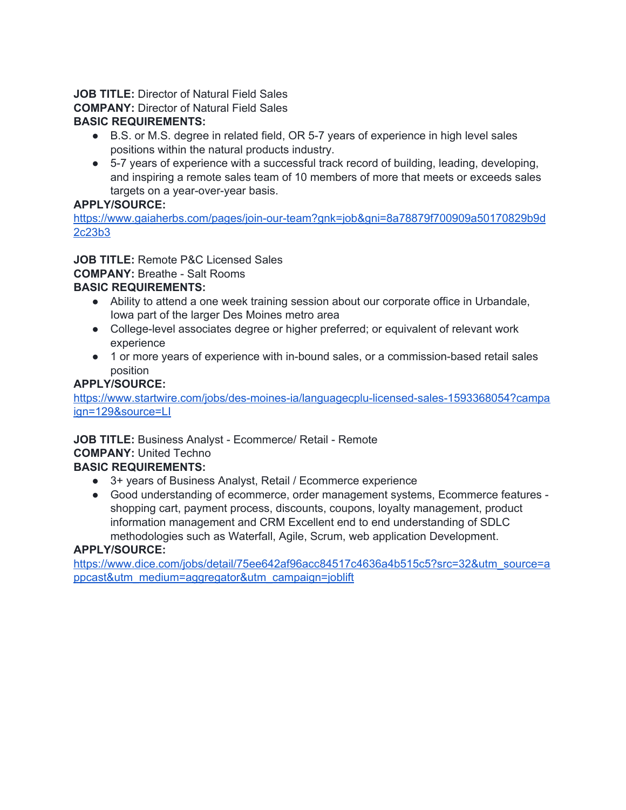#### **JOB TITLE:** Director of Natural Field Sales **COMPANY:** Director of Natural Field Sales **BASIC REQUIREMENTS:**

- B.S. or M.S. degree in related field, OR 5-7 years of experience in high level sales positions within the natural products industry.
- 5-7 years of experience with a successful track record of building, leading, developing, and inspiring a remote sales team of 10 members of more that meets or exceeds sales targets on a year-over-year basis.

### **APPLY/SOURCE:**

[https://www.gaiaherbs.com/pages/join-our-team?gnk=job&gni=8a78879f700909a50170829b9d](https://www.gaiaherbs.com/pages/join-our-team?gnk=job&gni=8a78879f700909a50170829b9d2c23b3) [2c23b3](https://www.gaiaherbs.com/pages/join-our-team?gnk=job&gni=8a78879f700909a50170829b9d2c23b3)

**JOB TITLE:** Remote P&C Licensed Sales **COMPANY:** Breathe - Salt Rooms **BASIC REQUIREMENTS:**

- Ability to attend a one week training session about our corporate office in Urbandale, Iowa part of the larger Des Moines metro area
- College-level associates degree or higher preferred; or equivalent of relevant work experience
- 1 or more years of experience with in-bound sales, or a commission-based retail sales position

### **APPLY/SOURCE:**

[https://www.startwire.com/jobs/des-moines-ia/languagecplu-licensed-sales-1593368054?campa](https://www.startwire.com/jobs/des-moines-ia/languagecplu-licensed-sales-1593368054?campaign=129&source=LI) [ign=129&source=LI](https://www.startwire.com/jobs/des-moines-ia/languagecplu-licensed-sales-1593368054?campaign=129&source=LI)

# **JOB TITLE:** Business Analyst - Ecommerce/ Retail - Remote **COMPANY:** United Techno

### **BASIC REQUIREMENTS:**

- 3+ years of Business Analyst, Retail / Ecommerce experience
- Good understanding of ecommerce, order management systems, Ecommerce features shopping cart, payment process, discounts, coupons, loyalty management, product information management and CRM Excellent end to end understanding of SDLC methodologies such as Waterfall, Agile, Scrum, web application Development.

### **APPLY/SOURCE:**

[https://www.dice.com/jobs/detail/75ee642af96acc84517c4636a4b515c5?src=32&utm\\_source=a](https://www.dice.com/jobs/detail/75ee642af96acc84517c4636a4b515c5?src=32&utm_source=appcast&utm_medium=aggregator&utm_campaign=joblift) [ppcast&utm\\_medium=aggregator&utm\\_campaign=joblift](https://www.dice.com/jobs/detail/75ee642af96acc84517c4636a4b515c5?src=32&utm_source=appcast&utm_medium=aggregator&utm_campaign=joblift)